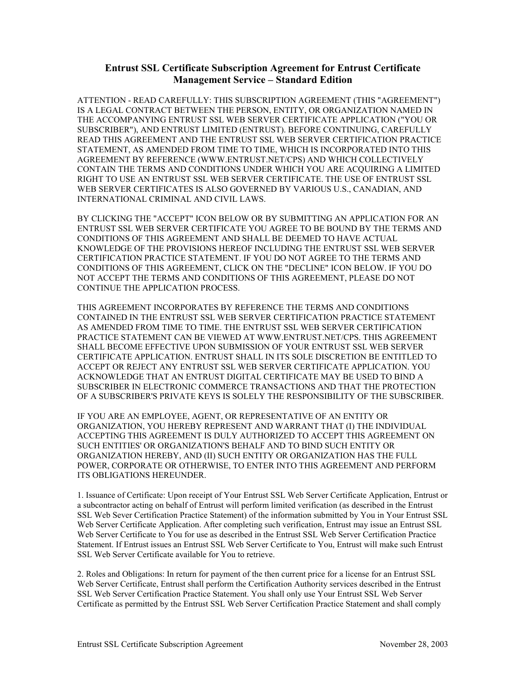## **Entrust SSL Certificate Subscription Agreement for Entrust Certificate Management Service – Standard Edition**

ATTENTION - READ CAREFULLY: THIS SUBSCRIPTION AGREEMENT (THIS "AGREEMENT") IS A LEGAL CONTRACT BETWEEN THE PERSON, ENTITY, OR ORGANIZATION NAMED IN THE ACCOMPANYING ENTRUST SSL WEB SERVER CERTIFICATE APPLICATION ("YOU OR SUBSCRIBER"), AND ENTRUST LIMITED (ENTRUST). BEFORE CONTINUING, CAREFULLY READ THIS AGREEMENT AND THE ENTRUST SSL WEB SERVER CERTIFICATION PRACTICE STATEMENT, AS AMENDED FROM TIME TO TIME, WHICH IS INCORPORATED INTO THIS AGREEMENT BY REFERENCE (WWW.ENTRUST.NET/CPS) AND WHICH COLLECTIVELY CONTAIN THE TERMS AND CONDITIONS UNDER WHICH YOU ARE ACQUIRING A LIMITED RIGHT TO USE AN ENTRUST SSL WEB SERVER CERTIFICATE. THE USE OF ENTRUST SSL WEB SERVER CERTIFICATES IS ALSO GOVERNED BY VARIOUS U.S., CANADIAN, AND INTERNATIONAL CRIMINAL AND CIVIL LAWS.

BY CLICKING THE "ACCEPT" ICON BELOW OR BY SUBMITTING AN APPLICATION FOR AN ENTRUST SSL WEB SERVER CERTIFICATE YOU AGREE TO BE BOUND BY THE TERMS AND CONDITIONS OF THIS AGREEMENT AND SHALL BE DEEMED TO HAVE ACTUAL KNOWLEDGE OF THE PROVISIONS HEREOF INCLUDING THE ENTRUST SSL WEB SERVER CERTIFICATION PRACTICE STATEMENT. IF YOU DO NOT AGREE TO THE TERMS AND CONDITIONS OF THIS AGREEMENT, CLICK ON THE "DECLINE" ICON BELOW. IF YOU DO NOT ACCEPT THE TERMS AND CONDITIONS OF THIS AGREEMENT, PLEASE DO NOT CONTINUE THE APPLICATION PROCESS.

THIS AGREEMENT INCORPORATES BY REFERENCE THE TERMS AND CONDITIONS CONTAINED IN THE ENTRUST SSL WEB SERVER CERTIFICATION PRACTICE STATEMENT AS AMENDED FROM TIME TO TIME. THE ENTRUST SSL WEB SERVER CERTIFICATION PRACTICE STATEMENT CAN BE VIEWED AT WWW.ENTRUST.NET/CPS. THIS AGREEMENT SHALL BECOME EFFECTIVE UPON SUBMISSION OF YOUR ENTRUST SSL WEB SERVER CERTIFICATE APPLICATION. ENTRUST SHALL IN ITS SOLE DISCRETION BE ENTITLED TO ACCEPT OR REJECT ANY ENTRUST SSL WEB SERVER CERTIFICATE APPLICATION. YOU ACKNOWLEDGE THAT AN ENTRUST DIGITAL CERTIFICATE MAY BE USED TO BIND A SUBSCRIBER IN ELECTRONIC COMMERCE TRANSACTIONS AND THAT THE PROTECTION OF A SUBSCRIBER'S PRIVATE KEYS IS SOLELY THE RESPONSIBILITY OF THE SUBSCRIBER.

IF YOU ARE AN EMPLOYEE, AGENT, OR REPRESENTATIVE OF AN ENTITY OR ORGANIZATION, YOU HEREBY REPRESENT AND WARRANT THAT (I) THE INDIVIDUAL ACCEPTING THIS AGREEMENT IS DULY AUTHORIZED TO ACCEPT THIS AGREEMENT ON SUCH ENTITIES' OR ORGANIZATION'S BEHALF AND TO BIND SUCH ENTITY OR ORGANIZATION HEREBY, AND (II) SUCH ENTITY OR ORGANIZATION HAS THE FULL POWER, CORPORATE OR OTHERWISE, TO ENTER INTO THIS AGREEMENT AND PERFORM ITS OBLIGATIONS HEREUNDER.

1. Issuance of Certificate: Upon receipt of Your Entrust SSL Web Server Certificate Application, Entrust or a subcontractor acting on behalf of Entrust will perform limited verification (as described in the Entrust SSL Web Sever Certification Practice Statement) of the information submitted by You in Your Entrust SSL Web Server Certificate Application. After completing such verification, Entrust may issue an Entrust SSL Web Server Certificate to You for use as described in the Entrust SSL Web Server Certification Practice Statement. If Entrust issues an Entrust SSL Web Server Certificate to You, Entrust will make such Entrust SSL Web Server Certificate available for You to retrieve.

2. Roles and Obligations: In return for payment of the then current price for a license for an Entrust SSL Web Server Certificate, Entrust shall perform the Certification Authority services described in the Entrust SSL Web Server Certification Practice Statement. You shall only use Your Entrust SSL Web Server Certificate as permitted by the Entrust SSL Web Server Certification Practice Statement and shall comply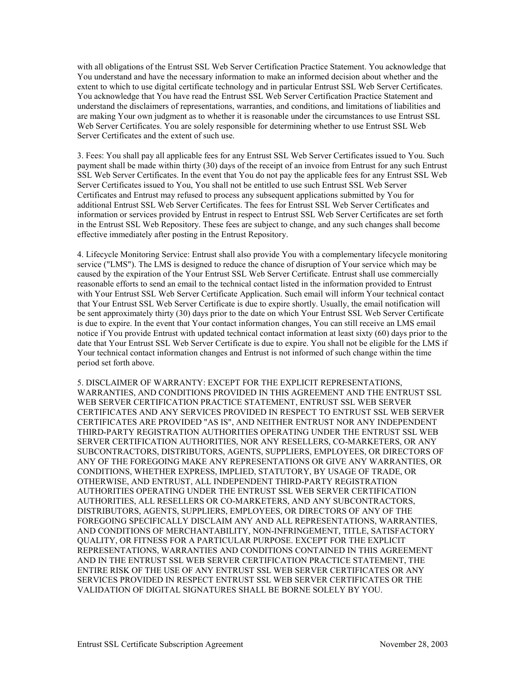with all obligations of the Entrust SSL Web Server Certification Practice Statement. You acknowledge that You understand and have the necessary information to make an informed decision about whether and the extent to which to use digital certificate technology and in particular Entrust SSL Web Server Certificates. You acknowledge that You have read the Entrust SSL Web Server Certification Practice Statement and understand the disclaimers of representations, warranties, and conditions, and limitations of liabilities and are making Your own judgment as to whether it is reasonable under the circumstances to use Entrust SSL Web Server Certificates. You are solely responsible for determining whether to use Entrust SSL Web Server Certificates and the extent of such use.

3. Fees: You shall pay all applicable fees for any Entrust SSL Web Server Certificates issued to You. Such payment shall be made within thirty (30) days of the receipt of an invoice from Entrust for any such Entrust SSL Web Server Certificates. In the event that You do not pay the applicable fees for any Entrust SSL Web Server Certificates issued to You, You shall not be entitled to use such Entrust SSL Web Server Certificates and Entrust may refused to process any subsequent applications submitted by You for additional Entrust SSL Web Server Certificates. The fees for Entrust SSL Web Server Certificates and information or services provided by Entrust in respect to Entrust SSL Web Server Certificates are set forth in the Entrust SSL Web Repository. These fees are subject to change, and any such changes shall become effective immediately after posting in the Entrust Repository.

4. Lifecycle Monitoring Service: Entrust shall also provide You with a complementary lifecycle monitoring service ("LMS"). The LMS is designed to reduce the chance of disruption of Your service which may be caused by the expiration of the Your Entrust SSL Web Server Certificate. Entrust shall use commercially reasonable efforts to send an email to the technical contact listed in the information provided to Entrust with Your Entrust SSL Web Server Certificate Application. Such email will inform Your technical contact that Your Entrust SSL Web Server Certificate is due to expire shortly. Usually, the email notification will be sent approximately thirty (30) days prior to the date on which Your Entrust SSL Web Server Certificate is due to expire. In the event that Your contact information changes, You can still receive an LMS email notice if You provide Entrust with updated technical contact information at least sixty (60) days prior to the date that Your Entrust SSL Web Server Certificate is due to expire. You shall not be eligible for the LMS if Your technical contact information changes and Entrust is not informed of such change within the time period set forth above.

5. DISCLAIMER OF WARRANTY: EXCEPT FOR THE EXPLICIT REPRESENTATIONS, WARRANTIES, AND CONDITIONS PROVIDED IN THIS AGREEMENT AND THE ENTRUST SSL WEB SERVER CERTIFICATION PRACTICE STATEMENT, ENTRUST SSL WEB SERVER CERTIFICATES AND ANY SERVICES PROVIDED IN RESPECT TO ENTRUST SSL WEB SERVER CERTIFICATES ARE PROVIDED "AS IS", AND NEITHER ENTRUST NOR ANY INDEPENDENT THIRD-PARTY REGISTRATION AUTHORITIES OPERATING UNDER THE ENTRUST SSL WEB SERVER CERTIFICATION AUTHORITIES, NOR ANY RESELLERS, CO-MARKETERS, OR ANY SUBCONTRACTORS, DISTRIBUTORS, AGENTS, SUPPLIERS, EMPLOYEES, OR DIRECTORS OF ANY OF THE FOREGOING MAKE ANY REPRESENTATIONS OR GIVE ANY WARRANTIES, OR CONDITIONS, WHETHER EXPRESS, IMPLIED, STATUTORY, BY USAGE OF TRADE, OR OTHERWISE, AND ENTRUST, ALL INDEPENDENT THIRD-PARTY REGISTRATION AUTHORITIES OPERATING UNDER THE ENTRUST SSL WEB SERVER CERTIFICATION AUTHORITIES, ALL RESELLERS OR CO-MARKETERS, AND ANY SUBCONTRACTORS, DISTRIBUTORS, AGENTS, SUPPLIERS, EMPLOYEES, OR DIRECTORS OF ANY OF THE FOREGOING SPECIFICALLY DISCLAIM ANY AND ALL REPRESENTATIONS, WARRANTIES, AND CONDITIONS OF MERCHANTABILITY, NON-INFRINGEMENT, TITLE, SATISFACTORY QUALITY, OR FITNESS FOR A PARTICULAR PURPOSE. EXCEPT FOR THE EXPLICIT REPRESENTATIONS, WARRANTIES AND CONDITIONS CONTAINED IN THIS AGREEMENT AND IN THE ENTRUST SSL WEB SERVER CERTIFICATION PRACTICE STATEMENT, THE ENTIRE RISK OF THE USE OF ANY ENTRUST SSL WEB SERVER CERTIFICATES OR ANY SERVICES PROVIDED IN RESPECT ENTRUST SSL WEB SERVER CERTIFICATES OR THE VALIDATION OF DIGITAL SIGNATURES SHALL BE BORNE SOLELY BY YOU.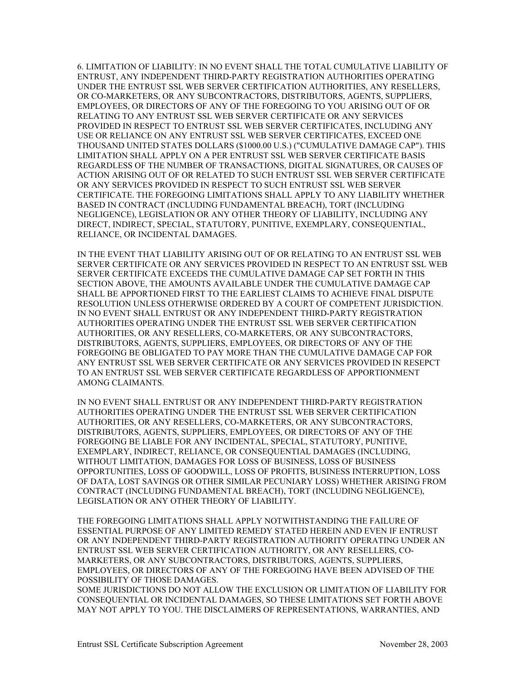6. LIMITATION OF LIABILITY: IN NO EVENT SHALL THE TOTAL CUMULATIVE LIABILITY OF ENTRUST, ANY INDEPENDENT THIRD-PARTY REGISTRATION AUTHORITIES OPERATING UNDER THE ENTRUST SSL WEB SERVER CERTIFICATION AUTHORITIES, ANY RESELLERS, OR CO-MARKETERS, OR ANY SUBCONTRACTORS, DISTRIBUTORS, AGENTS, SUPPLIERS, EMPLOYEES, OR DIRECTORS OF ANY OF THE FOREGOING TO YOU ARISING OUT OF OR RELATING TO ANY ENTRUST SSL WEB SERVER CERTIFICATE OR ANY SERVICES PROVIDED IN RESPECT TO ENTRUST SSL WEB SERVER CERTIFICATES, INCLUDING ANY USE OR RELIANCE ON ANY ENTRUST SSL WEB SERVER CERTIFICATES, EXCEED ONE THOUSAND UNITED STATES DOLLARS (\$1000.00 U.S.) ("CUMULATIVE DAMAGE CAP"). THIS LIMITATION SHALL APPLY ON A PER ENTRUST SSL WEB SERVER CERTIFICATE BASIS REGARDLESS OF THE NUMBER OF TRANSACTIONS, DIGITAL SIGNATURES, OR CAUSES OF ACTION ARISING OUT OF OR RELATED TO SUCH ENTRUST SSL WEB SERVER CERTIFICATE OR ANY SERVICES PROVIDED IN RESPECT TO SUCH ENTRUST SSL WEB SERVER CERTIFICATE. THE FOREGOING LIMITATIONS SHALL APPLY TO ANY LIABILITY WHETHER BASED IN CONTRACT (INCLUDING FUNDAMENTAL BREACH), TORT (INCLUDING NEGLIGENCE), LEGISLATION OR ANY OTHER THEORY OF LIABILITY, INCLUDING ANY DIRECT, INDIRECT, SPECIAL, STATUTORY, PUNITIVE, EXEMPLARY, CONSEQUENTIAL, RELIANCE, OR INCIDENTAL DAMAGES.

IN THE EVENT THAT LIABILITY ARISING OUT OF OR RELATING TO AN ENTRUST SSL WEB SERVER CERTIFICATE OR ANY SERVICES PROVIDED IN RESPECT TO AN ENTRUST SSL WEB SERVER CERTIFICATE EXCEEDS THE CUMULATIVE DAMAGE CAP SET FORTH IN THIS SECTION ABOVE, THE AMOUNTS AVAILABLE UNDER THE CUMULATIVE DAMAGE CAP SHALL BE APPORTIONED FIRST TO THE EARLIEST CLAIMS TO ACHIEVE FINAL DISPUTE RESOLUTION UNLESS OTHERWISE ORDERED BY A COURT OF COMPETENT JURISDICTION. IN NO EVENT SHALL ENTRUST OR ANY INDEPENDENT THIRD-PARTY REGISTRATION AUTHORITIES OPERATING UNDER THE ENTRUST SSL WEB SERVER CERTIFICATION AUTHORITIES, OR ANY RESELLERS, CO-MARKETERS, OR ANY SUBCONTRACTORS, DISTRIBUTORS, AGENTS, SUPPLIERS, EMPLOYEES, OR DIRECTORS OF ANY OF THE FOREGOING BE OBLIGATED TO PAY MORE THAN THE CUMULATIVE DAMAGE CAP FOR ANY ENTRUST SSL WEB SERVER CERTIFICATE OR ANY SERVICES PROVIDED IN RESEPCT TO AN ENTRUST SSL WEB SERVER CERTIFICATE REGARDLESS OF APPORTIONMENT AMONG CLAIMANTS.

IN NO EVENT SHALL ENTRUST OR ANY INDEPENDENT THIRD-PARTY REGISTRATION AUTHORITIES OPERATING UNDER THE ENTRUST SSL WEB SERVER CERTIFICATION AUTHORITIES, OR ANY RESELLERS, CO-MARKETERS, OR ANY SUBCONTRACTORS, DISTRIBUTORS, AGENTS, SUPPLIERS, EMPLOYEES, OR DIRECTORS OF ANY OF THE FOREGOING BE LIABLE FOR ANY INCIDENTAL, SPECIAL, STATUTORY, PUNITIVE, EXEMPLARY, INDIRECT, RELIANCE, OR CONSEQUENTIAL DAMAGES (INCLUDING, WITHOUT LIMITATION, DAMAGES FOR LOSS OF BUSINESS, LOSS OF BUSINESS OPPORTUNITIES, LOSS OF GOODWILL, LOSS OF PROFITS, BUSINESS INTERRUPTION, LOSS OF DATA, LOST SAVINGS OR OTHER SIMILAR PECUNIARY LOSS) WHETHER ARISING FROM CONTRACT (INCLUDING FUNDAMENTAL BREACH), TORT (INCLUDING NEGLIGENCE), LEGISLATION OR ANY OTHER THEORY OF LIABILITY.

THE FOREGOING LIMITATIONS SHALL APPLY NOTWITHSTANDING THE FAILURE OF ESSENTIAL PURPOSE OF ANY LIMITED REMEDY STATED HEREIN AND EVEN IF ENTRUST OR ANY INDEPENDENT THIRD-PARTY REGISTRATION AUTHORITY OPERATING UNDER AN ENTRUST SSL WEB SERVER CERTIFICATION AUTHORITY, OR ANY RESELLERS, CO-MARKETERS, OR ANY SUBCONTRACTORS, DISTRIBUTORS, AGENTS, SUPPLIERS, EMPLOYEES, OR DIRECTORS OF ANY OF THE FOREGOING HAVE BEEN ADVISED OF THE POSSIBILITY OF THOSE DAMAGES.

SOME JURISDICTIONS DO NOT ALLOW THE EXCLUSION OR LIMITATION OF LIABILITY FOR CONSEQUENTIAL OR INCIDENTAL DAMAGES, SO THESE LIMITATIONS SET FORTH ABOVE MAY NOT APPLY TO YOU. THE DISCLAIMERS OF REPRESENTATIONS, WARRANTIES, AND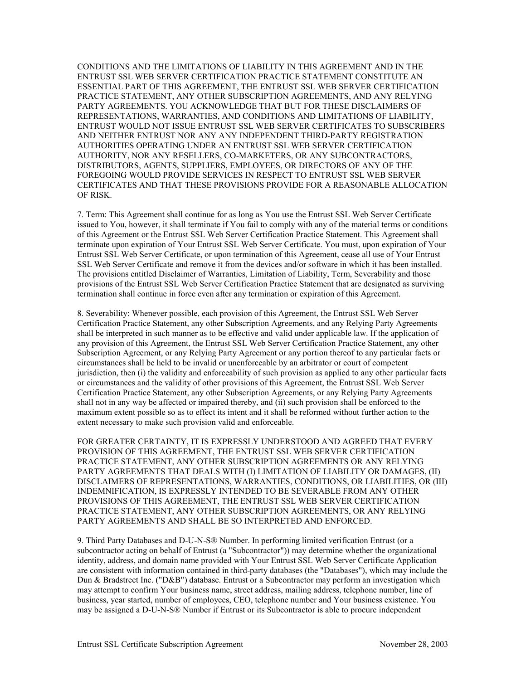CONDITIONS AND THE LIMITATIONS OF LIABILITY IN THIS AGREEMENT AND IN THE ENTRUST SSL WEB SERVER CERTIFICATION PRACTICE STATEMENT CONSTITUTE AN ESSENTIAL PART OF THIS AGREEMENT, THE ENTRUST SSL WEB SERVER CERTIFICATION PRACTICE STATEMENT, ANY OTHER SUBSCRIPTION AGREEMENTS, AND ANY RELYING PARTY AGREEMENTS. YOU ACKNOWLEDGE THAT BUT FOR THESE DISCLAIMERS OF REPRESENTATIONS, WARRANTIES, AND CONDITIONS AND LIMITATIONS OF LIABILITY, ENTRUST WOULD NOT ISSUE ENTRUST SSL WEB SERVER CERTIFICATES TO SUBSCRIBERS AND NEITHER ENTRUST NOR ANY ANY INDEPENDENT THIRD-PARTY REGISTRATION AUTHORITIES OPERATING UNDER AN ENTRUST SSL WEB SERVER CERTIFICATION AUTHORITY, NOR ANY RESELLERS, CO-MARKETERS, OR ANY SUBCONTRACTORS, DISTRIBUTORS, AGENTS, SUPPLIERS, EMPLOYEES, OR DIRECTORS OF ANY OF THE FOREGOING WOULD PROVIDE SERVICES IN RESPECT TO ENTRUST SSL WEB SERVER CERTIFICATES AND THAT THESE PROVISIONS PROVIDE FOR A REASONABLE ALLOCATION OF RISK.

7. Term: This Agreement shall continue for as long as You use the Entrust SSL Web Server Certificate issued to You, however, it shall terminate if You fail to comply with any of the material terms or conditions of this Agreement or the Entrust SSL Web Server Certification Practice Statement. This Agreement shall terminate upon expiration of Your Entrust SSL Web Server Certificate. You must, upon expiration of Your Entrust SSL Web Server Certificate, or upon termination of this Agreement, cease all use of Your Entrust SSL Web Server Certificate and remove it from the devices and/or software in which it has been installed. The provisions entitled Disclaimer of Warranties, Limitation of Liability, Term, Severability and those provisions of the Entrust SSL Web Server Certification Practice Statement that are designated as surviving termination shall continue in force even after any termination or expiration of this Agreement.

8. Severability: Whenever possible, each provision of this Agreement, the Entrust SSL Web Server Certification Practice Statement, any other Subscription Agreements, and any Relying Party Agreements shall be interpreted in such manner as to be effective and valid under applicable law. If the application of any provision of this Agreement, the Entrust SSL Web Server Certification Practice Statement, any other Subscription Agreement, or any Relying Party Agreement or any portion thereof to any particular facts or circumstances shall be held to be invalid or unenforceable by an arbitrator or court of competent jurisdiction, then (i) the validity and enforceability of such provision as applied to any other particular facts or circumstances and the validity of other provisions of this Agreement, the Entrust SSL Web Server Certification Practice Statement, any other Subscription Agreements, or any Relying Party Agreements shall not in any way be affected or impaired thereby, and (ii) such provision shall be enforced to the maximum extent possible so as to effect its intent and it shall be reformed without further action to the extent necessary to make such provision valid and enforceable.

FOR GREATER CERTAINTY, IT IS EXPRESSLY UNDERSTOOD AND AGREED THAT EVERY PROVISION OF THIS AGREEMENT, THE ENTRUST SSL WEB SERVER CERTIFICATION PRACTICE STATEMENT, ANY OTHER SUBSCRIPTION AGREEMENTS OR ANY RELYING PARTY AGREEMENTS THAT DEALS WITH (I) LIMITATION OF LIABILITY OR DAMAGES, (II) DISCLAIMERS OF REPRESENTATIONS, WARRANTIES, CONDITIONS, OR LIABILITIES, OR (III) INDEMNIFICATION, IS EXPRESSLY INTENDED TO BE SEVERABLE FROM ANY OTHER PROVISIONS OF THIS AGREEMENT, THE ENTRUST SSL WEB SERVER CERTIFICATION PRACTICE STATEMENT, ANY OTHER SUBSCRIPTION AGREEMENTS, OR ANY RELYING PARTY AGREEMENTS AND SHALL BE SO INTERPRETED AND ENFORCED.

9. Third Party Databases and D-U-N-S® Number. In performing limited verification Entrust (or a subcontractor acting on behalf of Entrust (a "Subcontractor")) may determine whether the organizational identity, address, and domain name provided with Your Entrust SSL Web Server Certificate Application are consistent with information contained in third-party databases (the "Databases"), which may include the Dun & Bradstreet Inc. ("D&B") database. Entrust or a Subcontractor may perform an investigation which may attempt to confirm Your business name, street address, mailing address, telephone number, line of business, year started, number of employees, CEO, telephone number and Your business existence. You may be assigned a D-U-N-S® Number if Entrust or its Subcontractor is able to procure independent